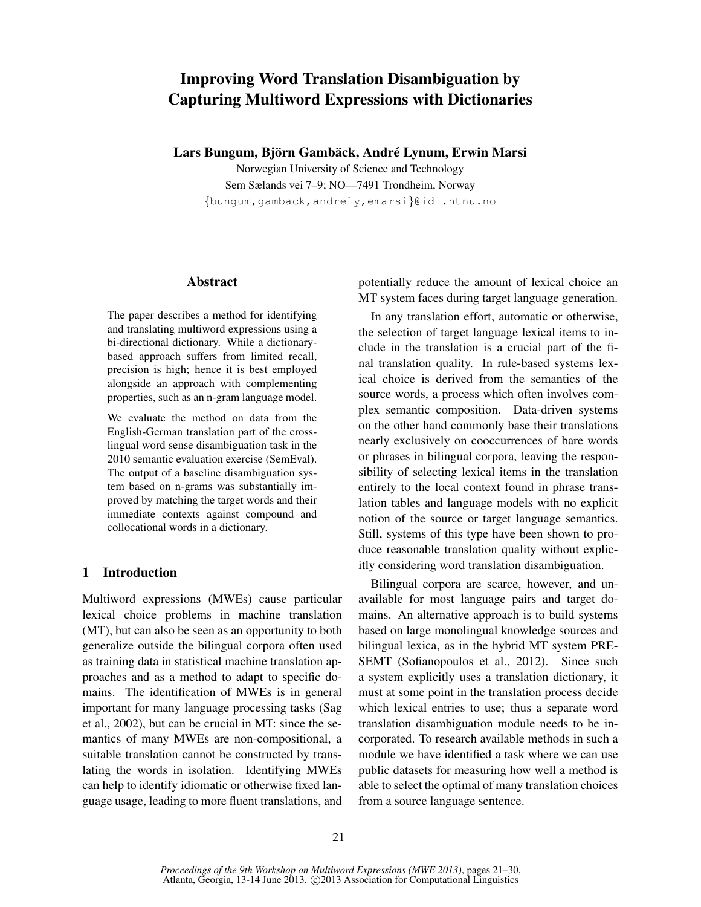# Improving Word Translation Disambiguation by Capturing Multiword Expressions with Dictionaries

Lars Bungum, Björn Gambäck, André Lynum, Erwin Marsi

Norwegian University of Science and Technology Sem Sælands vei 7–9; NO—7491 Trondheim, Norway {bungum,gamback,andrely,emarsi}@idi.ntnu.no

# Abstract

The paper describes a method for identifying and translating multiword expressions using a bi-directional dictionary. While a dictionarybased approach suffers from limited recall, precision is high; hence it is best employed alongside an approach with complementing properties, such as an n-gram language model.

We evaluate the method on data from the English-German translation part of the crosslingual word sense disambiguation task in the 2010 semantic evaluation exercise (SemEval). The output of a baseline disambiguation system based on n-grams was substantially improved by matching the target words and their immediate contexts against compound and collocational words in a dictionary.

# 1 Introduction

Multiword expressions (MWEs) cause particular lexical choice problems in machine translation (MT), but can also be seen as an opportunity to both generalize outside the bilingual corpora often used as training data in statistical machine translation approaches and as a method to adapt to specific domains. The identification of MWEs is in general important for many language processing tasks (Sag et al., 2002), but can be crucial in MT: since the semantics of many MWEs are non-compositional, a suitable translation cannot be constructed by translating the words in isolation. Identifying MWEs can help to identify idiomatic or otherwise fixed language usage, leading to more fluent translations, and potentially reduce the amount of lexical choice an MT system faces during target language generation.

In any translation effort, automatic or otherwise, the selection of target language lexical items to include in the translation is a crucial part of the final translation quality. In rule-based systems lexical choice is derived from the semantics of the source words, a process which often involves complex semantic composition. Data-driven systems on the other hand commonly base their translations nearly exclusively on cooccurrences of bare words or phrases in bilingual corpora, leaving the responsibility of selecting lexical items in the translation entirely to the local context found in phrase translation tables and language models with no explicit notion of the source or target language semantics. Still, systems of this type have been shown to produce reasonable translation quality without explicitly considering word translation disambiguation.

Bilingual corpora are scarce, however, and unavailable for most language pairs and target domains. An alternative approach is to build systems based on large monolingual knowledge sources and bilingual lexica, as in the hybrid MT system PRE-SEMT (Sofianopoulos et al., 2012). Since such a system explicitly uses a translation dictionary, it must at some point in the translation process decide which lexical entries to use; thus a separate word translation disambiguation module needs to be incorporated. To research available methods in such a module we have identified a task where we can use public datasets for measuring how well a method is able to select the optimal of many translation choices from a source language sentence.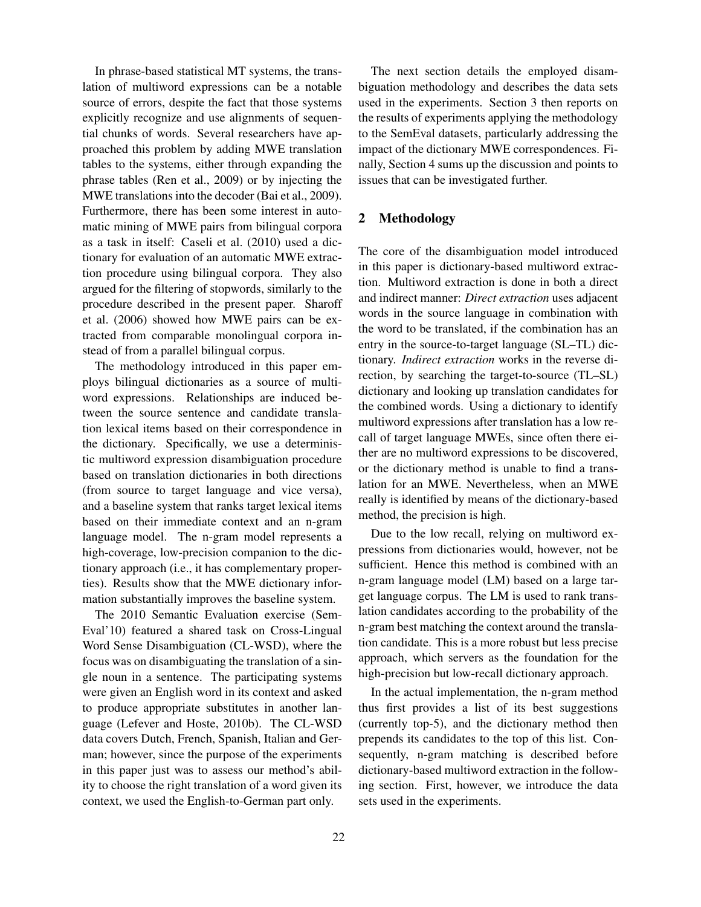In phrase-based statistical MT systems, the translation of multiword expressions can be a notable source of errors, despite the fact that those systems explicitly recognize and use alignments of sequential chunks of words. Several researchers have approached this problem by adding MWE translation tables to the systems, either through expanding the phrase tables (Ren et al., 2009) or by injecting the MWE translations into the decoder (Bai et al., 2009). Furthermore, there has been some interest in automatic mining of MWE pairs from bilingual corpora as a task in itself: Caseli et al. (2010) used a dictionary for evaluation of an automatic MWE extraction procedure using bilingual corpora. They also argued for the filtering of stopwords, similarly to the procedure described in the present paper. Sharoff et al. (2006) showed how MWE pairs can be extracted from comparable monolingual corpora instead of from a parallel bilingual corpus.

The methodology introduced in this paper employs bilingual dictionaries as a source of multiword expressions. Relationships are induced between the source sentence and candidate translation lexical items based on their correspondence in the dictionary. Specifically, we use a deterministic multiword expression disambiguation procedure based on translation dictionaries in both directions (from source to target language and vice versa), and a baseline system that ranks target lexical items based on their immediate context and an n-gram language model. The n-gram model represents a high-coverage, low-precision companion to the dictionary approach (i.e., it has complementary properties). Results show that the MWE dictionary information substantially improves the baseline system.

The 2010 Semantic Evaluation exercise (Sem-Eval'10) featured a shared task on Cross-Lingual Word Sense Disambiguation (CL-WSD), where the focus was on disambiguating the translation of a single noun in a sentence. The participating systems were given an English word in its context and asked to produce appropriate substitutes in another language (Lefever and Hoste, 2010b). The CL-WSD data covers Dutch, French, Spanish, Italian and German; however, since the purpose of the experiments in this paper just was to assess our method's ability to choose the right translation of a word given its context, we used the English-to-German part only.

The next section details the employed disambiguation methodology and describes the data sets used in the experiments. Section 3 then reports on the results of experiments applying the methodology to the SemEval datasets, particularly addressing the impact of the dictionary MWE correspondences. Finally, Section 4 sums up the discussion and points to issues that can be investigated further.

# 2 Methodology

The core of the disambiguation model introduced in this paper is dictionary-based multiword extraction. Multiword extraction is done in both a direct and indirect manner: *Direct extraction* uses adjacent words in the source language in combination with the word to be translated, if the combination has an entry in the source-to-target language (SL–TL) dictionary. *Indirect extraction* works in the reverse direction, by searching the target-to-source (TL–SL) dictionary and looking up translation candidates for the combined words. Using a dictionary to identify multiword expressions after translation has a low recall of target language MWEs, since often there either are no multiword expressions to be discovered, or the dictionary method is unable to find a translation for an MWE. Nevertheless, when an MWE really is identified by means of the dictionary-based method, the precision is high.

Due to the low recall, relying on multiword expressions from dictionaries would, however, not be sufficient. Hence this method is combined with an n-gram language model (LM) based on a large target language corpus. The LM is used to rank translation candidates according to the probability of the n-gram best matching the context around the translation candidate. This is a more robust but less precise approach, which servers as the foundation for the high-precision but low-recall dictionary approach.

In the actual implementation, the n-gram method thus first provides a list of its best suggestions (currently top-5), and the dictionary method then prepends its candidates to the top of this list. Consequently, n-gram matching is described before dictionary-based multiword extraction in the following section. First, however, we introduce the data sets used in the experiments.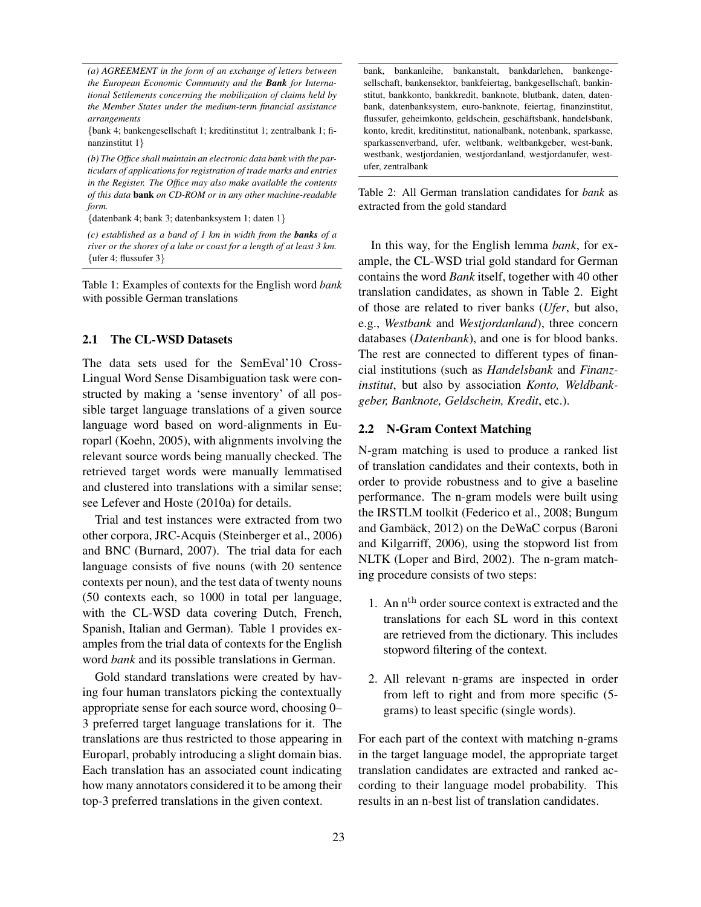*(a) AGREEMENT in the form of an exchange of letters between the European Economic Community and the Bank for International Settlements concerning the mobilization of claims held by the Member States under the medium-term financial assistance arrangements*

{bank 4; bankengesellschaft 1; kreditinstitut 1; zentralbank 1; finanzinstitut 1}

*(b) The Office shall maintain an electronic data bank with the particulars of applications for registration of trade marks and entries in the Register. The Office may also make available the contents of this data* bank *on CD-ROM or in any other machine-readable form.*

{datenbank 4; bank 3; datenbanksystem 1; daten 1}

*(c) established as a band of 1 km in width from the banks of a river or the shores of a lake or coast for a length of at least 3 km.*  $\{$  ufer 4; flussufer 3 $\}$ 

Table 1: Examples of contexts for the English word *bank* with possible German translations

# 2.1 The CL-WSD Datasets

The data sets used for the SemEval'10 Cross-Lingual Word Sense Disambiguation task were constructed by making a 'sense inventory' of all possible target language translations of a given source language word based on word-alignments in Europarl (Koehn, 2005), with alignments involving the relevant source words being manually checked. The retrieved target words were manually lemmatised and clustered into translations with a similar sense; see Lefever and Hoste (2010a) for details.

Trial and test instances were extracted from two other corpora, JRC-Acquis (Steinberger et al., 2006) and BNC (Burnard, 2007). The trial data for each language consists of five nouns (with 20 sentence contexts per noun), and the test data of twenty nouns (50 contexts each, so 1000 in total per language, with the CL-WSD data covering Dutch, French, Spanish, Italian and German). Table 1 provides examples from the trial data of contexts for the English word *bank* and its possible translations in German.

Gold standard translations were created by having four human translators picking the contextually appropriate sense for each source word, choosing 0– 3 preferred target language translations for it. The translations are thus restricted to those appearing in Europarl, probably introducing a slight domain bias. Each translation has an associated count indicating how many annotators considered it to be among their top-3 preferred translations in the given context.

bank, bankanleihe, bankanstalt, bankdarlehen, bankengesellschaft, bankensektor, bankfeiertag, bankgesellschaft, bankinstitut, bankkonto, bankkredit, banknote, blutbank, daten, datenbank, datenbanksystem, euro-banknote, feiertag, finanzinstitut, flussufer, geheimkonto, geldschein, geschaftsbank, handelsbank, ¨ konto, kredit, kreditinstitut, nationalbank, notenbank, sparkasse, sparkassenverband, ufer, weltbank, weltbankgeber, west-bank, westbank, westjordanien, westjordanland, westjordanufer, westufer, zentralbank

Table 2: All German translation candidates for *bank* as extracted from the gold standard

In this way, for the English lemma *bank*, for example, the CL-WSD trial gold standard for German contains the word *Bank* itself, together with 40 other translation candidates, as shown in Table 2. Eight of those are related to river banks (*Ufer*, but also, e.g., *Westbank* and *Westjordanland*), three concern databases (*Datenbank*), and one is for blood banks. The rest are connected to different types of financial institutions (such as *Handelsbank* and *Finanzinstitut*, but also by association *Konto, Weldbankgeber, Banknote, Geldschein, Kredit*, etc.).

### 2.2 N-Gram Context Matching

N-gram matching is used to produce a ranked list of translation candidates and their contexts, both in order to provide robustness and to give a baseline performance. The n-gram models were built using the IRSTLM toolkit (Federico et al., 2008; Bungum and Gambäck, 2012) on the DeWaC corpus (Baroni and Kilgarriff, 2006), using the stopword list from NLTK (Loper and Bird, 2002). The n-gram matching procedure consists of two steps:

- 1. An  $n<sup>th</sup>$  order source context is extracted and the translations for each SL word in this context are retrieved from the dictionary. This includes stopword filtering of the context.
- 2. All relevant n-grams are inspected in order from left to right and from more specific (5 grams) to least specific (single words).

For each part of the context with matching n-grams in the target language model, the appropriate target translation candidates are extracted and ranked according to their language model probability. This results in an n-best list of translation candidates.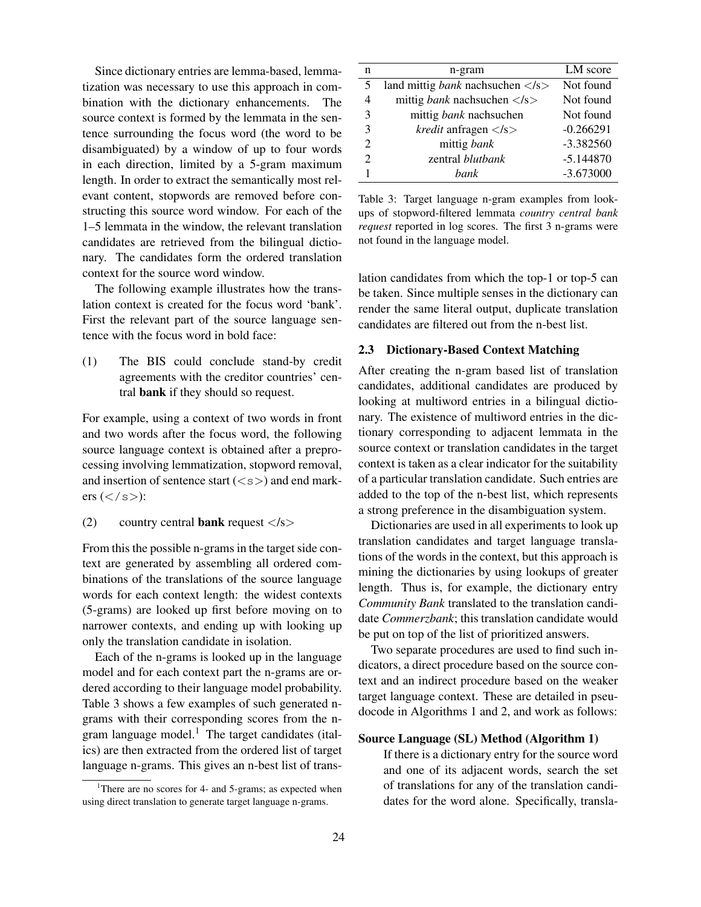Since dictionary entries are lemma-based, lemmatization was necessary to use this approach in combination with the dictionary enhancements. The source context is formed by the lemmata in the sentence surrounding the focus word (the word to be disambiguated) by a window of up to four words in each direction, limited by a 5-gram maximum length. In order to extract the semantically most relevant content, stopwords are removed before constructing this source word window. For each of the 1–5 lemmata in the window, the relevant translation candidates are retrieved from the bilingual dictionary. The candidates form the ordered translation context for the source word window.

The following example illustrates how the translation context is created for the focus word 'bank'. First the relevant part of the source language sentence with the focus word in bold face:

(1) The BIS could conclude stand-by credit agreements with the creditor countries' central bank if they should so request.

For example, using a context of two words in front and two words after the focus word, the following source language context is obtained after a preprocessing involving lemmatization, stopword removal, and insertion of sentence start  $($ ) and end markers  $():$ 

(2) country central **bank** request  $\langle$ /s $\rangle$ 

From this the possible n-grams in the target side context are generated by assembling all ordered combinations of the translations of the source language words for each context length: the widest contexts (5-grams) are looked up first before moving on to narrower contexts, and ending up with looking up only the translation candidate in isolation.

Each of the n-grams is looked up in the language model and for each context part the n-grams are ordered according to their language model probability. Table 3 shows a few examples of such generated ngrams with their corresponding scores from the ngram language model. $<sup>1</sup>$  The target candidates (ital-</sup> ics) are then extracted from the ordered list of target language n-grams. This gives an n-best list of trans-

| n              | n-gram                                                | LM score    |
|----------------|-------------------------------------------------------|-------------|
| 5              | land mittig <i>bank</i> nach such en $\langle$ /s $>$ | Not found   |
| 4              | mittig <i>bank</i> nachsuchen $\langle$ /s $>$        | Not found   |
| 3              | mittig <i>bank</i> nachsuchen                         | Not found   |
| 3              | <i>kredit</i> anfragen $\langle$ /s $>$               | $-0.266291$ |
| $\overline{c}$ | mittig bank                                           | $-3.382560$ |
| $\mathfrak{D}$ | zentral blutbank                                      | $-5.144870$ |
|                | bank.                                                 | $-3.673000$ |

Table 3: Target language n-gram examples from lookups of stopword-filtered lemmata *country central bank request* reported in log scores. The first 3 n-grams were not found in the language model.

lation candidates from which the top-1 or top-5 can be taken. Since multiple senses in the dictionary can render the same literal output, duplicate translation candidates are filtered out from the n-best list.

### 2.3 Dictionary-Based Context Matching

After creating the n-gram based list of translation candidates, additional candidates are produced by looking at multiword entries in a bilingual dictionary. The existence of multiword entries in the dictionary corresponding to adjacent lemmata in the source context or translation candidates in the target context is taken as a clear indicator for the suitability of a particular translation candidate. Such entries are added to the top of the n-best list, which represents a strong preference in the disambiguation system.

Dictionaries are used in all experiments to look up translation candidates and target language translations of the words in the context, but this approach is mining the dictionaries by using lookups of greater length. Thus is, for example, the dictionary entry *Community Bank* translated to the translation candidate *Commerzbank*; this translation candidate would be put on top of the list of prioritized answers.

Two separate procedures are used to find such indicators, a direct procedure based on the source context and an indirect procedure based on the weaker target language context. These are detailed in pseudocode in Algorithms 1 and 2, and work as follows:

## Source Language (SL) Method (Algorithm 1)

If there is a dictionary entry for the source word and one of its adjacent words, search the set of translations for any of the translation candidates for the word alone. Specifically, transla-

<sup>&</sup>lt;sup>1</sup>There are no scores for 4- and 5-grams; as expected when using direct translation to generate target language n-grams.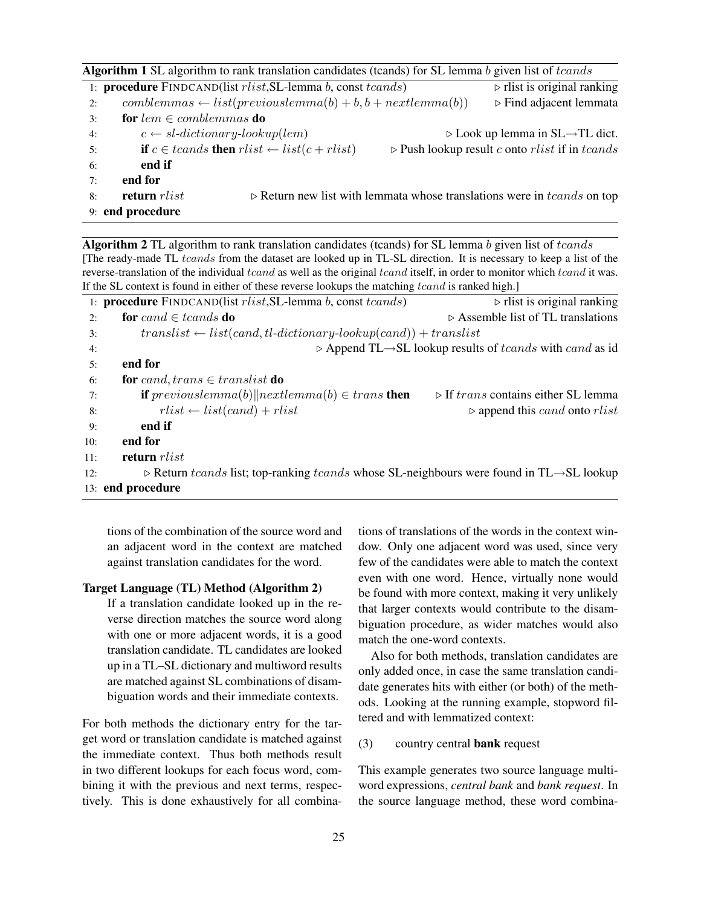| <b>Algorithm 1</b> SL algorithm to rank translation candidates (tcands) for SL lemma b given list of tcands                                    |                                        |  |  |  |  |  |
|------------------------------------------------------------------------------------------------------------------------------------------------|----------------------------------------|--|--|--|--|--|
| $\triangleright$ rlist is original ranking<br>1: <b>procedure</b> FINDCAND(list <i>rlist</i> , SL-lemma <i>b</i> , const <i>tcands</i> )       |                                        |  |  |  |  |  |
| $comblemmas \leftarrow list(previous lemma(b) + b, b + nextlemma(b))$<br>2:                                                                    | $\triangleright$ Find adjacent lemmata |  |  |  |  |  |
| for $lem \in comblemmas$ do<br>3:                                                                                                              |                                        |  |  |  |  |  |
| $c \leftarrow sl\text{-}dictionary\text{-}lookup(lem)$<br>$\triangleright$ Look up lemma in SL $\rightarrow$ TL dict.<br>4:                    |                                        |  |  |  |  |  |
| <b>if</b> $c \in$ tcands <b>then</b> $rlist \leftarrow list(c + rlist)$<br>$\triangleright$ Push lookup result c onto rlist if in tcands<br>5: |                                        |  |  |  |  |  |
| end if<br>6:                                                                                                                                   |                                        |  |  |  |  |  |
| end for<br>7:                                                                                                                                  |                                        |  |  |  |  |  |
| return rlist<br>$\triangleright$ Return new list with lemmata whose translations were in tcands on top<br>8:                                   |                                        |  |  |  |  |  |
| 9: end procedure                                                                                                                               |                                        |  |  |  |  |  |

Algorithm 2 TL algorithm to rank translation candidates (tcands) for SL lemma  $b$  given list of tcands [The ready-made TL tcands from the dataset are looked up in TL-SL direction. It is necessary to keep a list of the reverse-translation of the individual tcand as well as the original tcand itself, in order to monitor which tcand it was. If the SL context is found in either of these reverse lookups the matching  $tcand$  is ranked high.]

|     | 1: <b>procedure</b> $\text{FINDCAND}($ list $\text{rl}\,ist$ , SL-lemma $b$ , const $\text{teands}$ )                | $\triangleright$ rlist is original ranking                                                         |
|-----|----------------------------------------------------------------------------------------------------------------------|----------------------------------------------------------------------------------------------------|
| 2:  | for cand $\in$ tcands do                                                                                             | $\triangleright$ Assemble list of TL translations                                                  |
| 3:  | $translist \leftarrow list(cand, tl-dictionary-looking(cand)) + translist$                                           |                                                                                                    |
| 4:  |                                                                                                                      | $\triangleright$ Append TL $\rightarrow$ SL lookup results of <i>teands</i> with <i>cand</i> as id |
| 5:  | end for                                                                                                              |                                                                                                    |
| 6:  | for cand, trans $\in$ translist do                                                                                   |                                                                                                    |
| 7:  | <b>if</b> previous lemma(b) $\parallel$ next lemma(b) $\in$ trans <b>then</b>                                        | $\triangleright$ If trans contains either SL lemma                                                 |
| 8:  | $rlist \leftarrow list(cand) + rlist$                                                                                | $\triangleright$ append this <i>cand</i> onto rlist                                                |
| 9:  | end if                                                                                                               |                                                                                                    |
| 10: | end for                                                                                                              |                                                                                                    |
| 11: | return rlist                                                                                                         |                                                                                                    |
| 12: | $\triangleright$ Return tcands list; top-ranking tcands whose SL-neighbours were found in TL $\rightarrow$ SL lookup |                                                                                                    |
|     | 13: end procedure                                                                                                    |                                                                                                    |

tions of the combination of the source word and an adjacent word in the context are matched against translation candidates for the word.

#### Target Language (TL) Method (Algorithm 2)

If a translation candidate looked up in the reverse direction matches the source word along with one or more adjacent words, it is a good translation candidate. TL candidates are looked up in a TL–SL dictionary and multiword results are matched against SL combinations of disambiguation words and their immediate contexts.

For both methods the dictionary entry for the target word or translation candidate is matched against the immediate context. Thus both methods result in two different lookups for each focus word, combining it with the previous and next terms, respectively. This is done exhaustively for all combinations of translations of the words in the context window. Only one adjacent word was used, since very few of the candidates were able to match the context even with one word. Hence, virtually none would be found with more context, making it very unlikely that larger contexts would contribute to the disambiguation procedure, as wider matches would also match the one-word contexts.

Also for both methods, translation candidates are only added once, in case the same translation candidate generates hits with either (or both) of the methods. Looking at the running example, stopword filtered and with lemmatized context:

# (3) country central bank request

This example generates two source language multiword expressions, *central bank* and *bank request*. In the source language method, these word combina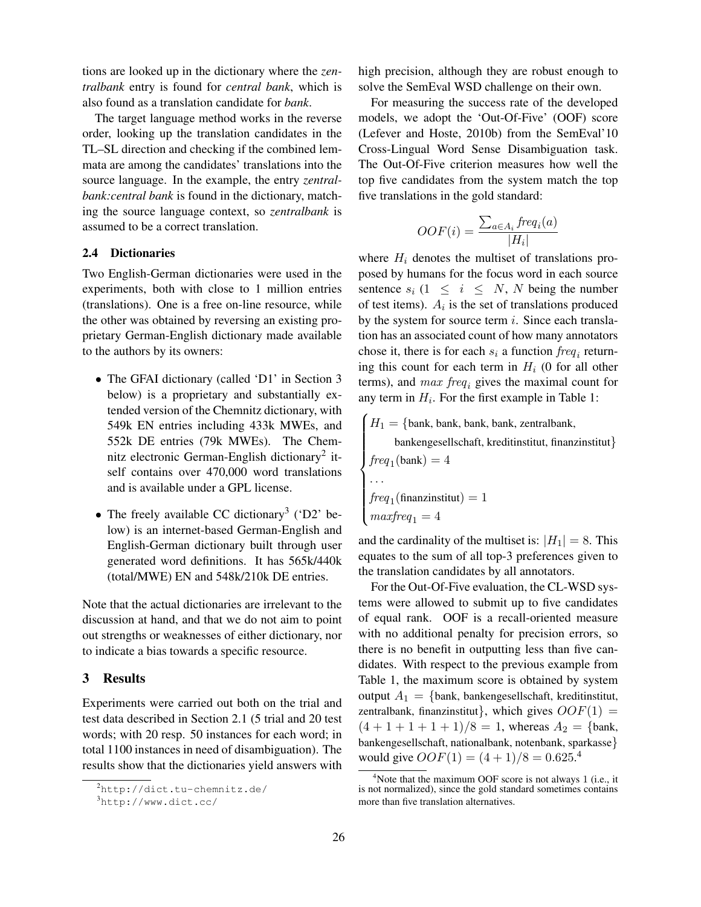tions are looked up in the dictionary where the *zentralbank* entry is found for *central bank*, which is also found as a translation candidate for *bank*.

The target language method works in the reverse order, looking up the translation candidates in the TL–SL direction and checking if the combined lemmata are among the candidates' translations into the source language. In the example, the entry *zentralbank:central bank* is found in the dictionary, matching the source language context, so *zentralbank* is assumed to be a correct translation.

# 2.4 Dictionaries

Two English-German dictionaries were used in the experiments, both with close to 1 million entries (translations). One is a free on-line resource, while the other was obtained by reversing an existing proprietary German-English dictionary made available to the authors by its owners:

- The GFAI dictionary (called 'D1' in Section 3 below) is a proprietary and substantially extended version of the Chemnitz dictionary, with 549k EN entries including 433k MWEs, and 552k DE entries (79k MWEs). The Chemnitz electronic German-English dictionary<sup>2</sup> itself contains over 470,000 word translations and is available under a GPL license.
- The freely available CC dictionary<sup>3</sup> ('D2' below) is an internet-based German-English and English-German dictionary built through user generated word definitions. It has 565k/440k (total/MWE) EN and 548k/210k DE entries.

Note that the actual dictionaries are irrelevant to the discussion at hand, and that we do not aim to point out strengths or weaknesses of either dictionary, nor to indicate a bias towards a specific resource.

### 3 Results

Experiments were carried out both on the trial and test data described in Section 2.1 (5 trial and 20 test words; with 20 resp. 50 instances for each word; in total 1100 instances in need of disambiguation). The results show that the dictionaries yield answers with high precision, although they are robust enough to solve the SemEval WSD challenge on their own.

For measuring the success rate of the developed models, we adopt the 'Out-Of-Five' (OOF) score (Lefever and Hoste, 2010b) from the SemEval'10 Cross-Lingual Word Sense Disambiguation task. The Out-Of-Five criterion measures how well the top five candidates from the system match the top five translations in the gold standard:

$$
OOF(i) = \frac{\sum_{a \in A_i} freq_i(a)}{|H_i|}
$$

where  $H_i$  denotes the multiset of translations proposed by humans for the focus word in each source sentence  $s_i$  (1  $\leq i \leq N$ , N being the number of test items).  $A_i$  is the set of translations produced by the system for source term  $i$ . Since each translation has an associated count of how many annotators chose it, there is for each  $s_i$  a function  $freq_i$  returning this count for each term in  $H_i$  (0 for all other terms), and  $max freq_i$  gives the maximal count for any term in  $H_i$ . For the first example in Table 1:

 $H_1 = \{\text{bank}, \text{bank}, \text{bank}, \text{bank}, \text{zentralbank}, \text{heat}\}$ 

bankengesellschaft, kreditinstitut, finanzinstitut}

$$
freq1(bank) = 4
$$
  
\n
$$
freq1(bank) = 4
$$
  
\n...  
\n
$$
freq1(finanzinstitut) = 1
$$
  
\n
$$
maxfreq1 = 4
$$

and the cardinality of the multiset is:  $|H_1| = 8$ . This equates to the sum of all top-3 preferences given to the translation candidates by all annotators.

For the Out-Of-Five evaluation, the CL-WSD systems were allowed to submit up to five candidates of equal rank. OOF is a recall-oriented measure with no additional penalty for precision errors, so there is no benefit in outputting less than five candidates. With respect to the previous example from Table 1, the maximum score is obtained by system output  $A_1 = \{bank, bankengesellschaft, kreditinstitut,$ zentralbank, finanzinstitut}, which gives  $OOF(1) =$  $(4+1+1+1+1)/8 = 1$ , whereas  $A_2 = \{\text{bank},\}$ bankengesellschaft, nationalbank, notenbank, sparkasse} would give  $OOF(1) = (4 + 1)/8 = 0.625$ .<sup>4</sup>

<sup>2</sup>http://dict.tu-chemnitz.de/

 $3$ http://www.dict.cc/

 $4$ Note that the maximum OOF score is not always 1 (i.e., it is not normalized), since the gold standard sometimes contains more than five translation alternatives.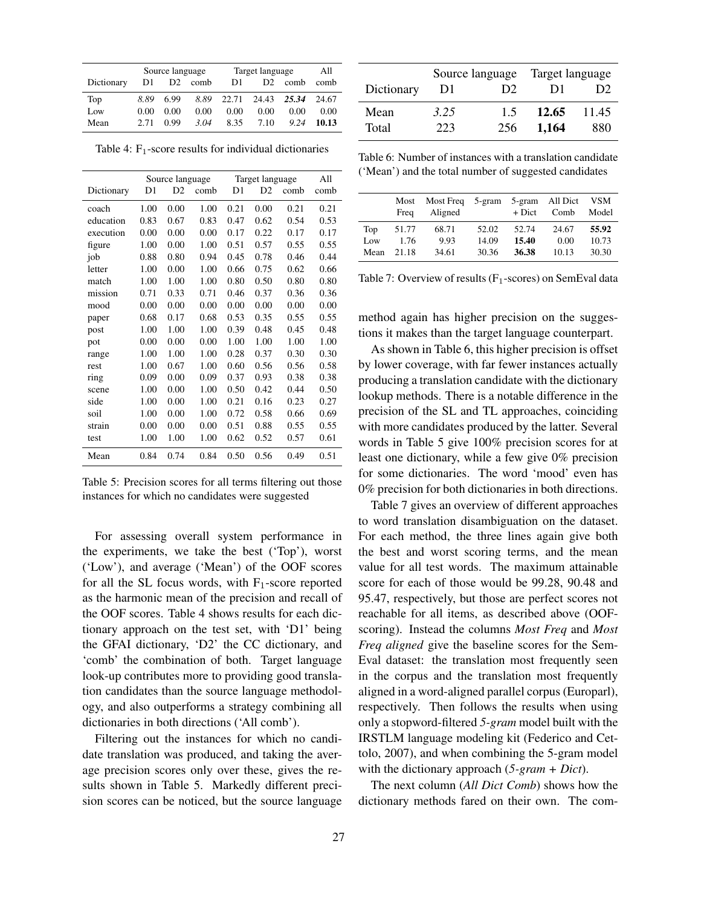|            | Source language |                |      | Target language |                |       | All   |
|------------|-----------------|----------------|------|-----------------|----------------|-------|-------|
| Dictionary | D1              | D <sub>2</sub> | comb | D1              | D <sub>2</sub> | comb  | comb  |
| Top        | 8.89            | 6.99           | 8.89 | 22.71           | 24.43          | 25.34 | 24.67 |
| Low        | 0.00            | 0.00           | 0.00 | 0.00            | 0.00           | 0.00  | 0.00  |
| Mean       | 2.71            | 0.99           | 3.04 | 8.35            | 7.10           | 9.24  | 10.13 |

Table 4:  $F_1$ -score results for individual dictionaries

|            | Source language |                | Target language |      |                | All  |      |
|------------|-----------------|----------------|-----------------|------|----------------|------|------|
| Dictionary | D1              | D <sub>2</sub> | comb            | D1   | D <sub>2</sub> | comb | comb |
| coach      | 1.00            | 0.00           | 1.00            | 0.21 | 0.00           | 0.21 | 0.21 |
| education  | 0.83            | 0.67           | 0.83            | 0.47 | 0.62           | 0.54 | 0.53 |
| execution  | 0.00            | 0.00           | 0.00            | 0.17 | 0.22           | 0.17 | 0.17 |
| figure     | 1.00            | 0.00           | 1.00            | 0.51 | 0.57           | 0.55 | 0.55 |
| job        | 0.88            | 0.80           | 0.94            | 0.45 | 0.78           | 0.46 | 0.44 |
| letter     | 1.00            | 0.00           | 1.00            | 0.66 | 0.75           | 0.62 | 0.66 |
| match      | 1.00            | 1.00           | 1.00            | 0.80 | 0.50           | 0.80 | 0.80 |
| mission    | 0.71            | 0.33           | 0.71            | 0.46 | 0.37           | 0.36 | 0.36 |
| mood       | 0.00            | 0.00           | 0.00            | 0.00 | 0.00           | 0.00 | 0.00 |
| paper      | 0.68            | 0.17           | 0.68            | 0.53 | 0.35           | 0.55 | 0.55 |
| post       | 1.00            | 1.00           | 1.00            | 0.39 | 0.48           | 0.45 | 0.48 |
| pot        | 0.00            | 0.00           | 0.00            | 1.00 | 1.00           | 1.00 | 1.00 |
| range      | 1.00            | 1.00           | 1.00            | 0.28 | 0.37           | 0.30 | 0.30 |
| rest       | 1.00            | 0.67           | 1.00            | 0.60 | 0.56           | 0.56 | 0.58 |
| ring       | 0.09            | 0.00           | 0.09            | 0.37 | 0.93           | 0.38 | 0.38 |
| scene      | 1.00            | 0.00           | 1.00            | 0.50 | 0.42           | 0.44 | 0.50 |
| side       | 1.00            | 0.00           | 1.00            | 0.21 | 0.16           | 0.23 | 0.27 |
| soil       | 1.00            | 0.00           | 1.00            | 0.72 | 0.58           | 0.66 | 0.69 |
| strain     | 0.00            | 0.00           | 0.00            | 0.51 | 0.88           | 0.55 | 0.55 |
| test       | 1.00            | 1.00           | 1.00            | 0.62 | 0.52           | 0.57 | 0.61 |
| Mean       | 0.84            | 0.74           | 0.84            | 0.50 | 0.56           | 0.49 | 0.51 |

Table 5: Precision scores for all terms filtering out those instances for which no candidates were suggested

For assessing overall system performance in the experiments, we take the best ('Top'), worst ('Low'), and average ('Mean') of the OOF scores for all the SL focus words, with  $F_1$ -score reported as the harmonic mean of the precision and recall of the OOF scores. Table 4 shows results for each dictionary approach on the test set, with 'D1' being the GFAI dictionary, 'D2' the CC dictionary, and 'comb' the combination of both. Target language look-up contributes more to providing good translation candidates than the source language methodology, and also outperforms a strategy combining all dictionaries in both directions ('All comb').

Filtering out the instances for which no candidate translation was produced, and taking the average precision scores only over these, gives the results shown in Table 5. Markedly different precision scores can be noticed, but the source language

|               |             | Source language | Target language |              |  |
|---------------|-------------|-----------------|-----------------|--------------|--|
| Dictionary    | D1          | D2              | D1              | D2           |  |
| Mean<br>Total | 3.25<br>223 | 15<br>256       | 12.65<br>1.164  | 11.45<br>880 |  |

Table 6: Number of instances with a translation candidate ('Mean') and the total number of suggested candidates

|     | Most<br>Freq | Most Freq 5-gram<br>Aligned |       | + Dict | 5-gram All Dict VSM<br>Comb | Model |
|-----|--------------|-----------------------------|-------|--------|-----------------------------|-------|
| Top | 51.77        | 68.71                       | 52.02 | 52.74  | 24.67                       | 55.92 |
| Low | 1.76         | 9.93                        | 14.09 | 15.40  | 0.00                        | 10.73 |
|     | Mean $21.18$ | 34.61                       | 30.36 | 36.38  | 10.13                       | 30.30 |

Table 7: Overview of results  $(F_1$ -scores) on SemEval data

method again has higher precision on the suggestions it makes than the target language counterpart.

As shown in Table 6, this higher precision is offset by lower coverage, with far fewer instances actually producing a translation candidate with the dictionary lookup methods. There is a notable difference in the precision of the SL and TL approaches, coinciding with more candidates produced by the latter. Several words in Table 5 give 100% precision scores for at least one dictionary, while a few give 0% precision for some dictionaries. The word 'mood' even has 0% precision for both dictionaries in both directions.

Table 7 gives an overview of different approaches to word translation disambiguation on the dataset. For each method, the three lines again give both the best and worst scoring terms, and the mean value for all test words. The maximum attainable score for each of those would be 99.28, 90.48 and 95.47, respectively, but those are perfect scores not reachable for all items, as described above (OOFscoring). Instead the columns *Most Freq* and *Most Freq aligned* give the baseline scores for the Sem-Eval dataset: the translation most frequently seen in the corpus and the translation most frequently aligned in a word-aligned parallel corpus (Europarl), respectively. Then follows the results when using only a stopword-filtered *5-gram* model built with the IRSTLM language modeling kit (Federico and Cettolo, 2007), and when combining the 5-gram model with the dictionary approach (*5-gram + Dict*).

The next column (*All Dict Comb*) shows how the dictionary methods fared on their own. The com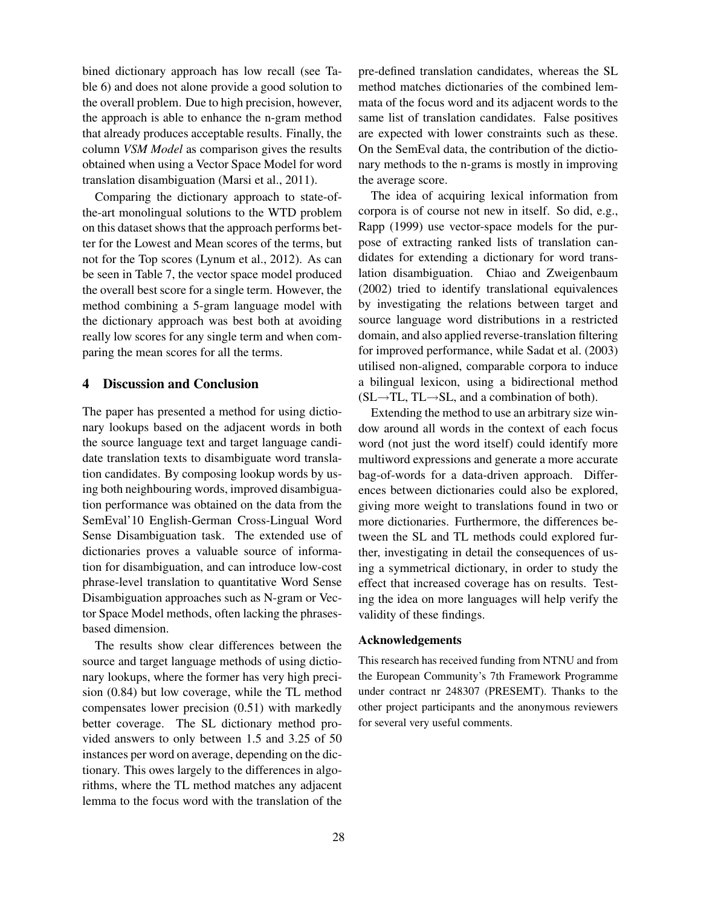bined dictionary approach has low recall (see Table 6) and does not alone provide a good solution to the overall problem. Due to high precision, however, the approach is able to enhance the n-gram method that already produces acceptable results. Finally, the column *VSM Model* as comparison gives the results obtained when using a Vector Space Model for word translation disambiguation (Marsi et al., 2011).

Comparing the dictionary approach to state-ofthe-art monolingual solutions to the WTD problem on this dataset shows that the approach performs better for the Lowest and Mean scores of the terms, but not for the Top scores (Lynum et al., 2012). As can be seen in Table 7, the vector space model produced the overall best score for a single term. However, the method combining a 5-gram language model with the dictionary approach was best both at avoiding really low scores for any single term and when comparing the mean scores for all the terms.

# 4 Discussion and Conclusion

The paper has presented a method for using dictionary lookups based on the adjacent words in both the source language text and target language candidate translation texts to disambiguate word translation candidates. By composing lookup words by using both neighbouring words, improved disambiguation performance was obtained on the data from the SemEval'10 English-German Cross-Lingual Word Sense Disambiguation task. The extended use of dictionaries proves a valuable source of information for disambiguation, and can introduce low-cost phrase-level translation to quantitative Word Sense Disambiguation approaches such as N-gram or Vector Space Model methods, often lacking the phrasesbased dimension.

The results show clear differences between the source and target language methods of using dictionary lookups, where the former has very high precision (0.84) but low coverage, while the TL method compensates lower precision (0.51) with markedly better coverage. The SL dictionary method provided answers to only between 1.5 and 3.25 of 50 instances per word on average, depending on the dictionary. This owes largely to the differences in algorithms, where the TL method matches any adjacent lemma to the focus word with the translation of the

pre-defined translation candidates, whereas the SL method matches dictionaries of the combined lemmata of the focus word and its adjacent words to the same list of translation candidates. False positives are expected with lower constraints such as these. On the SemEval data, the contribution of the dictionary methods to the n-grams is mostly in improving the average score.

The idea of acquiring lexical information from corpora is of course not new in itself. So did, e.g., Rapp (1999) use vector-space models for the purpose of extracting ranked lists of translation candidates for extending a dictionary for word translation disambiguation. Chiao and Zweigenbaum (2002) tried to identify translational equivalences by investigating the relations between target and source language word distributions in a restricted domain, and also applied reverse-translation filtering for improved performance, while Sadat et al. (2003) utilised non-aligned, comparable corpora to induce a bilingual lexicon, using a bidirectional method  $(SL\rightarrow TL, TL\rightarrow SL, and a combination of both).$ 

Extending the method to use an arbitrary size window around all words in the context of each focus word (not just the word itself) could identify more multiword expressions and generate a more accurate bag-of-words for a data-driven approach. Differences between dictionaries could also be explored, giving more weight to translations found in two or more dictionaries. Furthermore, the differences between the SL and TL methods could explored further, investigating in detail the consequences of using a symmetrical dictionary, in order to study the effect that increased coverage has on results. Testing the idea on more languages will help verify the validity of these findings.

#### Acknowledgements

This research has received funding from NTNU and from the European Community's 7th Framework Programme under contract nr 248307 (PRESEMT). Thanks to the other project participants and the anonymous reviewers for several very useful comments.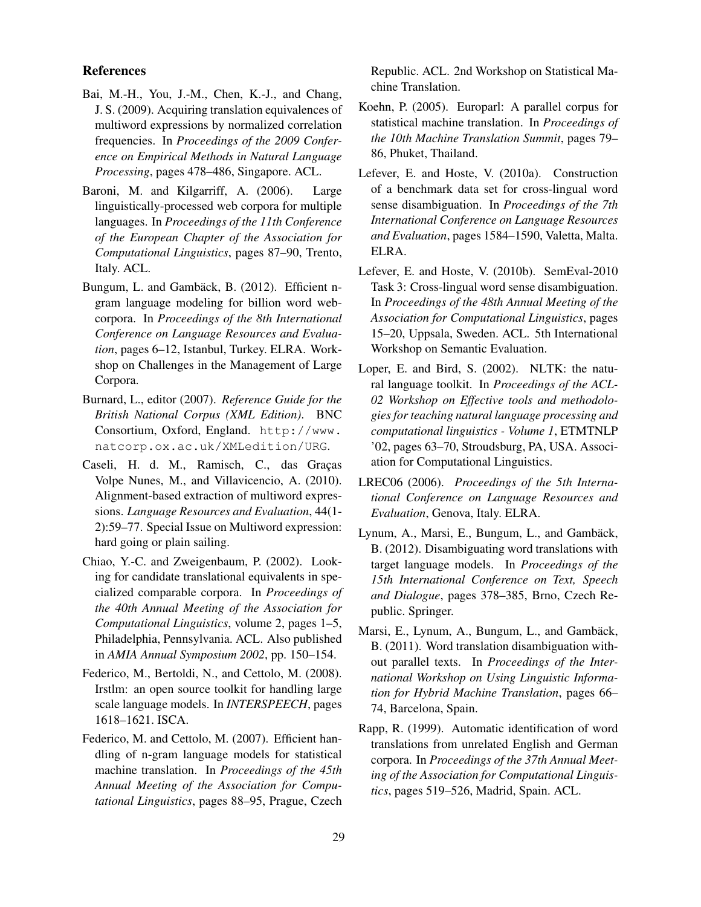### References

- Bai, M.-H., You, J.-M., Chen, K.-J., and Chang, J. S. (2009). Acquiring translation equivalences of multiword expressions by normalized correlation frequencies. In *Proceedings of the 2009 Conference on Empirical Methods in Natural Language Processing*, pages 478–486, Singapore. ACL.
- Baroni, M. and Kilgarriff, A. (2006). Large linguistically-processed web corpora for multiple languages. In *Proceedings of the 11th Conference of the European Chapter of the Association for Computational Linguistics*, pages 87–90, Trento, Italy. ACL.
- Bungum, L. and Gambäck, B. (2012). Efficient ngram language modeling for billion word webcorpora. In *Proceedings of the 8th International Conference on Language Resources and Evaluation*, pages 6–12, Istanbul, Turkey. ELRA. Workshop on Challenges in the Management of Large Corpora.
- Burnard, L., editor (2007). *Reference Guide for the British National Corpus (XML Edition)*. BNC Consortium, Oxford, England. http://www. natcorp.ox.ac.uk/XMLedition/URG.
- Caseli, H. d. M., Ramisch, C., das Graças Volpe Nunes, M., and Villavicencio, A. (2010). Alignment-based extraction of multiword expressions. *Language Resources and Evaluation*, 44(1- 2):59–77. Special Issue on Multiword expression: hard going or plain sailing.
- Chiao, Y.-C. and Zweigenbaum, P. (2002). Looking for candidate translational equivalents in specialized comparable corpora. In *Proceedings of the 40th Annual Meeting of the Association for Computational Linguistics*, volume 2, pages 1–5, Philadelphia, Pennsylvania. ACL. Also published in *AMIA Annual Symposium 2002*, pp. 150–154.
- Federico, M., Bertoldi, N., and Cettolo, M. (2008). Irstlm: an open source toolkit for handling large scale language models. In *INTERSPEECH*, pages 1618–1621. ISCA.
- Federico, M. and Cettolo, M. (2007). Efficient handling of n-gram language models for statistical machine translation. In *Proceedings of the 45th Annual Meeting of the Association for Computational Linguistics*, pages 88–95, Prague, Czech

Republic. ACL. 2nd Workshop on Statistical Machine Translation.

- Koehn, P. (2005). Europarl: A parallel corpus for statistical machine translation. In *Proceedings of the 10th Machine Translation Summit*, pages 79– 86, Phuket, Thailand.
- Lefever, E. and Hoste, V. (2010a). Construction of a benchmark data set for cross-lingual word sense disambiguation. In *Proceedings of the 7th International Conference on Language Resources and Evaluation*, pages 1584–1590, Valetta, Malta. ELRA.
- Lefever, E. and Hoste, V. (2010b). SemEval-2010 Task 3: Cross-lingual word sense disambiguation. In *Proceedings of the 48th Annual Meeting of the Association for Computational Linguistics*, pages 15–20, Uppsala, Sweden. ACL. 5th International Workshop on Semantic Evaluation.
- Loper, E. and Bird, S. (2002). NLTK: the natural language toolkit. In *Proceedings of the ACL-02 Workshop on Effective tools and methodologies for teaching natural language processing and computational linguistics - Volume 1*, ETMTNLP '02, pages 63–70, Stroudsburg, PA, USA. Association for Computational Linguistics.
- LREC06 (2006). *Proceedings of the 5th International Conference on Language Resources and Evaluation*, Genova, Italy. ELRA.
- Lynum, A., Marsi, E., Bungum, L., and Gambäck, B. (2012). Disambiguating word translations with target language models. In *Proceedings of the 15th International Conference on Text, Speech and Dialogue*, pages 378–385, Brno, Czech Republic. Springer.
- Marsi, E., Lynum, A., Bungum, L., and Gambäck, B. (2011). Word translation disambiguation without parallel texts. In *Proceedings of the International Workshop on Using Linguistic Information for Hybrid Machine Translation*, pages 66– 74, Barcelona, Spain.
- Rapp, R. (1999). Automatic identification of word translations from unrelated English and German corpora. In *Proceedings of the 37th Annual Meeting of the Association for Computational Linguistics*, pages 519–526, Madrid, Spain. ACL.